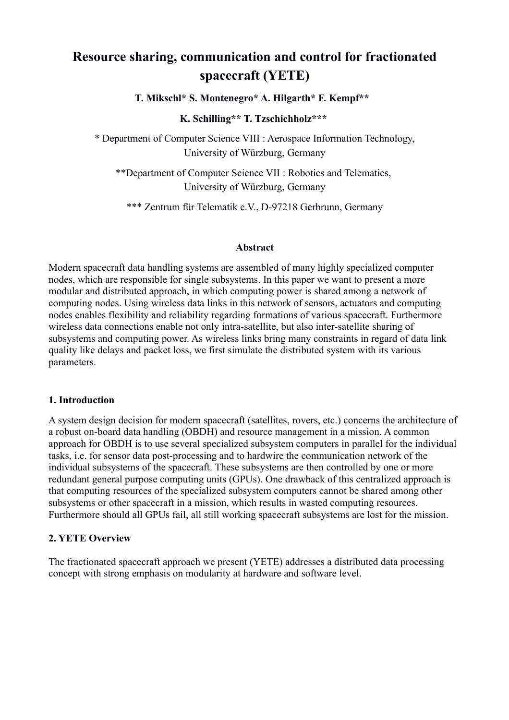# **Resource sharing, communication and control for fractionated spacecraft (YETE)**

**T. Mikschl\* S. Montenegro\* A. Hilgarth\* F. Kempf\*\*** 

**K. Schilling\*\* T. Tzschichholz\*\*\*** 

\* Department of Computer Science VIII : Aerospace Information Technology, University of Würzburg, Germany

\*\*Department of Computer Science VII : Robotics and Telematics, University of Würzburg, Germany

\*\*\* Zentrum für Telematik e.V., D-97218 Gerbrunn, Germany

#### **Abstract**

Modern spacecraft data handling systems are assembled of many highly specialized computer nodes, which are responsible for single subsystems. In this paper we want to present a more modular and distributed approach, in which computing power is shared among a network of computing nodes. Using wireless data links in this network of sensors, actuators and computing nodes enables flexibility and reliability regarding formations of various spacecraft. Furthermore wireless data connections enable not only intra-satellite, but also inter-satellite sharing of subsystems and computing power. As wireless links bring many constraints in regard of data link quality like delays and packet loss, we first simulate the distributed system with its various parameters.

#### **1. Introduction**

A system design decision for modern spacecraft (satellites, rovers, etc.) concerns the architecture of a robust on-board data handling (OBDH) and resource management in a mission. A common approach for OBDH is to use several specialized subsystem computers in parallel for the individual tasks, i.e. for sensor data post-processing and to hardwire the communication network of the individual subsystems of the spacecraft. These subsystems are then controlled by one or more redundant general purpose computing units (GPUs). One drawback of this centralized approach is that computing resources of the specialized subsystem computers cannot be shared among other subsystems or other spacecraft in a mission, which results in wasted computing resources. Furthermore should all GPUs fail, all still working spacecraft subsystems are lost for the mission.

## **2. YETE Overview**

The fractionated spacecraft approach we present (YETE) addresses a distributed data processing concept with strong emphasis on modularity at hardware and software level.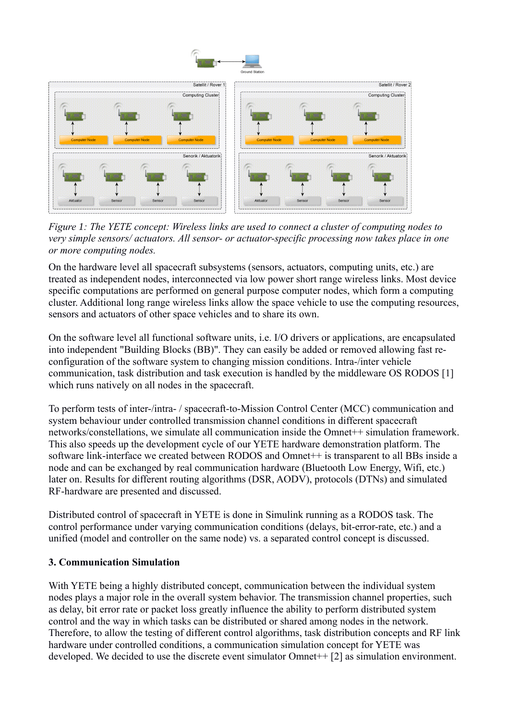

*Figure 1: The YETE concept: Wireless links are used to connect a cluster of computing nodes to very simple sensors/ actuators. All sensor- or actuator-specific processing now takes place in one or more computing nodes.*

On the hardware level all spacecraft subsystems (sensors, actuators, computing units, etc.) are treated as independent nodes, interconnected via low power short range wireless links. Most device specific computations are performed on general purpose computer nodes, which form a computing cluster. Additional long range wireless links allow the space vehicle to use the computing resources, sensors and actuators of other space vehicles and to share its own.

On the software level all functional software units, i.e. I/O drivers or applications, are encapsulated into independent "Building Blocks (BB)". They can easily be added or removed allowing fast reconfiguration of the software system to changing mission conditions. Intra-/inter vehicle communication, task distribution and task execution is handled by the middleware OS RODOS [1] which runs natively on all nodes in the spacecraft.

To perform tests of inter-/intra- / spacecraft-to-Mission Control Center (MCC) communication and system behaviour under controlled transmission channel conditions in different spacecraft networks/constellations, we simulate all communication inside the Omnet++ simulation framework. This also speeds up the development cycle of our YETE hardware demonstration platform. The software link-interface we created between RODOS and Omnet<sup>++</sup> is transparent to all BBs inside a node and can be exchanged by real communication hardware (Bluetooth Low Energy, Wifi, etc.) later on. Results for different routing algorithms (DSR, AODV), protocols (DTNs) and simulated RF-hardware are presented and discussed.

Distributed control of spacecraft in YETE is done in Simulink running as a RODOS task. The control performance under varying communication conditions (delays, bit-error-rate, etc.) and a unified (model and controller on the same node) vs. a separated control concept is discussed.

## **3. Communication Simulation**

With YETE being a highly distributed concept, communication between the individual system nodes plays a major role in the overall system behavior. The transmission channel properties, such as delay, bit error rate or packet loss greatly influence the ability to perform distributed system control and the way in which tasks can be distributed or shared among nodes in the network. Therefore, to allow the testing of different control algorithms, task distribution concepts and RF link hardware under controlled conditions, a communication simulation concept for YETE was developed. We decided to use the discrete event simulator Omnet++ [2] as simulation environment.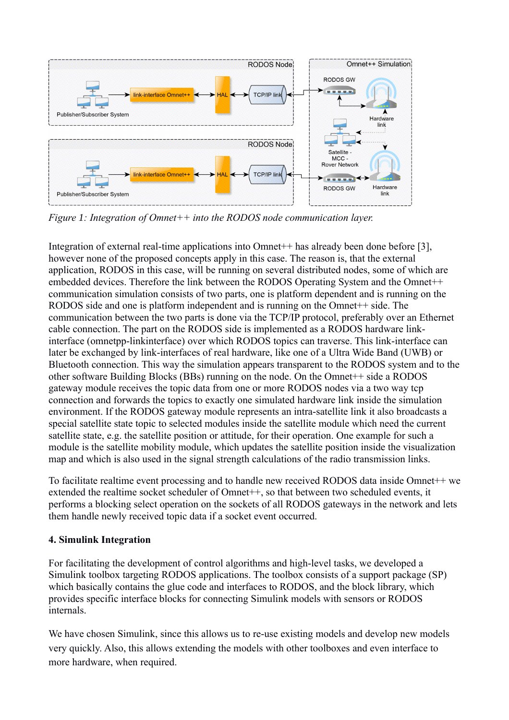

*Figure 1: Integration of Omnet++ into the RODOS node communication layer.*

Integration of external real-time applications into Omnet++ has already been done before [3], however none of the proposed concepts apply in this case. The reason is, that the external application, RODOS in this case, will be running on several distributed nodes, some of which are embedded devices. Therefore the link between the RODOS Operating System and the Omnet++ communication simulation consists of two parts, one is platform dependent and is running on the RODOS side and one is platform independent and is running on the Omnet<sup>++</sup> side. The communication between the two parts is done via the TCP/IP protocol, preferably over an Ethernet cable connection. The part on the RODOS side is implemented as a RODOS hardware linkinterface (omnetpp-linkinterface) over which RODOS topics can traverse. This link-interface can later be exchanged by link-interfaces of real hardware, like one of a Ultra Wide Band (UWB) or Bluetooth connection. This way the simulation appears transparent to the RODOS system and to the other software Building Blocks (BBs) running on the node. On the Omnet++ side a RODOS gateway module receives the topic data from one or more RODOS nodes via a two way tcp connection and forwards the topics to exactly one simulated hardware link inside the simulation environment. If the RODOS gateway module represents an intra-satellite link it also broadcasts a special satellite state topic to selected modules inside the satellite module which need the current satellite state, e.g. the satellite position or attitude, for their operation. One example for such a module is the satellite mobility module, which updates the satellite position inside the visualization map and which is also used in the signal strength calculations of the radio transmission links.

To facilitate realtime event processing and to handle new received RODOS data inside Omnet<sup>++</sup> we extended the realtime socket scheduler of Omnet++, so that between two scheduled events, it performs a blocking select operation on the sockets of all RODOS gateways in the network and lets them handle newly received topic data if a socket event occurred.

## **4. Simulink Integration**

For facilitating the development of control algorithms and high-level tasks, we developed a Simulink toolbox targeting RODOS applications. The toolbox consists of a support package (SP) which basically contains the glue code and interfaces to RODOS, and the block library, which provides specific interface blocks for connecting Simulink models with sensors or RODOS internals.

We have chosen Simulink, since this allows us to re-use existing models and develop new models very quickly. Also, this allows extending the models with other toolboxes and even interface to more hardware, when required.